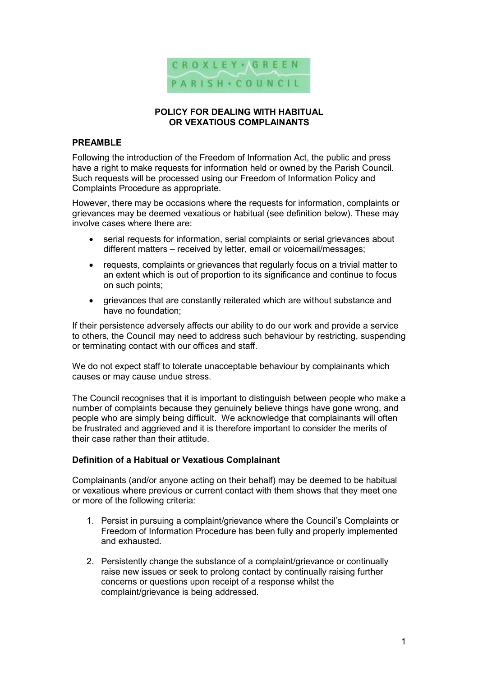

#### POLICY FOR DEALING WITH HABITUAL OR VEXATIOUS COMPLAINANTS

#### PRFAMBL<sub>F</sub>

Following the introduction of the Freedom of Information Act, the public and press have a right to make requests for information held or owned by the Parish Council. Such requests will be processed using our Freedom of Information Policy and Complaints Procedure as appropriate.

However, there may be occasions where the requests for information, complaints or grievances may be deemed vexatious or habitual (see definition below). These may involve cases where there are:

- serial requests for information, serial complaints or serial grievances about different matters – received by letter, email or voicemail/messages;
- requests, complaints or grievances that regularly focus on a trivial matter to an extent which is out of proportion to its significance and continue to focus on such points;
- grievances that are constantly reiterated which are without substance and have no foundation;

If their persistence adversely affects our ability to do our work and provide a service to others, the Council may need to address such behaviour by restricting, suspending or terminating contact with our offices and staff.

We do not expect staff to tolerate unacceptable behaviour by complainants which causes or may cause undue stress.

The Council recognises that it is important to distinguish between people who make a number of complaints because they genuinely believe things have gone wrong, and people who are simply being difficult. We acknowledge that complainants will often be frustrated and aggrieved and it is therefore important to consider the merits of their case rather than their attitude.

#### Definition of a Habitual or Vexatious Complainant

Complainants (and/or anyone acting on their behalf) may be deemed to be habitual or vexatious where previous or current contact with them shows that they meet one or more of the following criteria:

- 1. Persist in pursuing a complaint/grievance where the Council's Complaints or Freedom of Information Procedure has been fully and properly implemented and exhausted.
- 2. Persistently change the substance of a complaint/grievance or continually raise new issues or seek to prolong contact by continually raising further concerns or questions upon receipt of a response whilst the complaint/grievance is being addressed.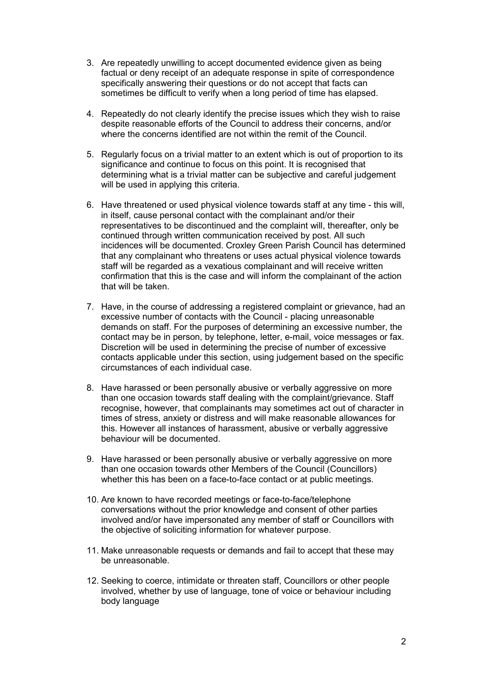- 3. Are repeatedly unwilling to accept documented evidence given as being factual or deny receipt of an adequate response in spite of correspondence specifically answering their questions or do not accept that facts can sometimes be difficult to verify when a long period of time has elapsed.
- 4. Repeatedly do not clearly identify the precise issues which they wish to raise despite reasonable efforts of the Council to address their concerns, and/or where the concerns identified are not within the remit of the Council.
- 5. Regularly focus on a trivial matter to an extent which is out of proportion to its significance and continue to focus on this point. It is recognised that determining what is a trivial matter can be subjective and careful judgement will be used in applying this criteria.
- 6. Have threatened or used physical violence towards staff at any time this will, in itself, cause personal contact with the complainant and/or their representatives to be discontinued and the complaint will, thereafter, only be continued through written communication received by post. All such incidences will be documented. Croxley Green Parish Council has determined that any complainant who threatens or uses actual physical violence towards staff will be regarded as a vexatious complainant and will receive written confirmation that this is the case and will inform the complainant of the action that will be taken.
- 7. Have, in the course of addressing a registered complaint or grievance, had an excessive number of contacts with the Council - placing unreasonable demands on staff. For the purposes of determining an excessive number, the contact may be in person, by telephone, letter, e-mail, voice messages or fax. Discretion will be used in determining the precise of number of excessive contacts applicable under this section, using judgement based on the specific circumstances of each individual case.
- 8. Have harassed or been personally abusive or verbally aggressive on more than one occasion towards staff dealing with the complaint/grievance. Staff recognise, however, that complainants may sometimes act out of character in times of stress, anxiety or distress and will make reasonable allowances for this. However all instances of harassment, abusive or verbally aggressive behaviour will be documented.
- 9. Have harassed or been personally abusive or verbally aggressive on more than one occasion towards other Members of the Council (Councillors) whether this has been on a face-to-face contact or at public meetings.
- 10. Are known to have recorded meetings or face-to-face/telephone conversations without the prior knowledge and consent of other parties involved and/or have impersonated any member of staff or Councillors with the objective of soliciting information for whatever purpose.
- 11. Make unreasonable requests or demands and fail to accept that these may be unreasonable.
- 12. Seeking to coerce, intimidate or threaten staff, Councillors or other people involved, whether by use of language, tone of voice or behaviour including body language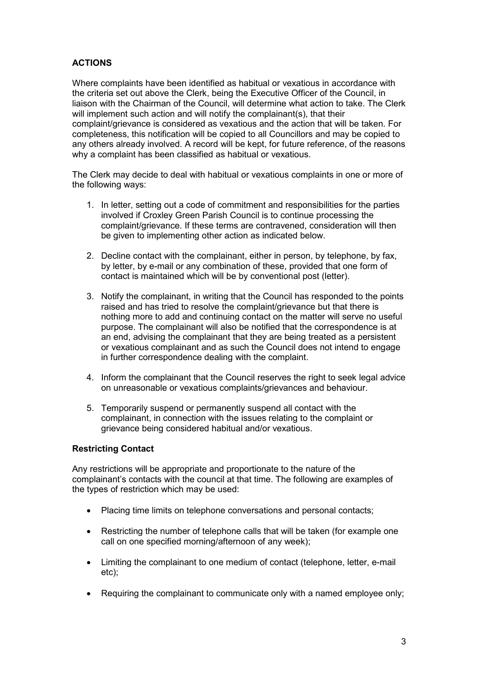### **ACTIONS**

Where complaints have been identified as habitual or vexatious in accordance with the criteria set out above the Clerk, being the Executive Officer of the Council, in liaison with the Chairman of the Council, will determine what action to take. The Clerk will implement such action and will notify the complainant(s), that their complaint/grievance is considered as vexatious and the action that will be taken. For completeness, this notification will be copied to all Councillors and may be copied to any others already involved. A record will be kept, for future reference, of the reasons why a complaint has been classified as habitual or vexatious.

The Clerk may decide to deal with habitual or vexatious complaints in one or more of the following ways:

- 1. In letter, setting out a code of commitment and responsibilities for the parties involved if Croxley Green Parish Council is to continue processing the complaint/grievance. If these terms are contravened, consideration will then be given to implementing other action as indicated below.
- 2. Decline contact with the complainant, either in person, by telephone, by fax, by letter, by e-mail or any combination of these, provided that one form of contact is maintained which will be by conventional post (letter).
- 3. Notify the complainant, in writing that the Council has responded to the points raised and has tried to resolve the complaint/grievance but that there is nothing more to add and continuing contact on the matter will serve no useful purpose. The complainant will also be notified that the correspondence is at an end, advising the complainant that they are being treated as a persistent or vexatious complainant and as such the Council does not intend to engage in further correspondence dealing with the complaint.
- 4. Inform the complainant that the Council reserves the right to seek legal advice on unreasonable or vexatious complaints/grievances and behaviour.
- 5. Temporarily suspend or permanently suspend all contact with the complainant, in connection with the issues relating to the complaint or grievance being considered habitual and/or vexatious.

#### Restricting Contact

Any restrictions will be appropriate and proportionate to the nature of the complainant's contacts with the council at that time. The following are examples of the types of restriction which may be used:

- Placing time limits on telephone conversations and personal contacts;
- Restricting the number of telephone calls that will be taken (for example one call on one specified morning/afternoon of any week);
- Limiting the complainant to one medium of contact (telephone, letter, e-mail etc);
- Requiring the complainant to communicate only with a named employee only;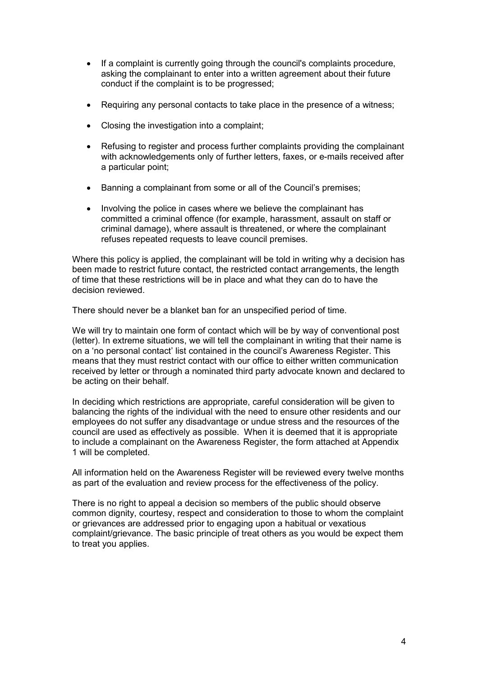- If a complaint is currently going through the council's complaints procedure, asking the complainant to enter into a written agreement about their future conduct if the complaint is to be progressed;
- Requiring any personal contacts to take place in the presence of a witness;
- Closing the investigation into a complaint;
- Refusing to register and process further complaints providing the complainant with acknowledgements only of further letters, faxes, or e-mails received after a particular point;
- Banning a complainant from some or all of the Council's premises;
- Involving the police in cases where we believe the complainant has committed a criminal offence (for example, harassment, assault on staff or criminal damage), where assault is threatened, or where the complainant refuses repeated requests to leave council premises.

Where this policy is applied, the complainant will be told in writing why a decision has been made to restrict future contact, the restricted contact arrangements, the length of time that these restrictions will be in place and what they can do to have the decision reviewed.

There should never be a blanket ban for an unspecified period of time.

We will try to maintain one form of contact which will be by way of conventional post (letter). In extreme situations, we will tell the complainant in writing that their name is on a 'no personal contact' list contained in the council's Awareness Register. This means that they must restrict contact with our office to either written communication received by letter or through a nominated third party advocate known and declared to be acting on their behalf.

In deciding which restrictions are appropriate, careful consideration will be given to balancing the rights of the individual with the need to ensure other residents and our employees do not suffer any disadvantage or undue stress and the resources of the council are used as effectively as possible. When it is deemed that it is appropriate to include a complainant on the Awareness Register, the form attached at Appendix 1 will be completed.

All information held on the Awareness Register will be reviewed every twelve months as part of the evaluation and review process for the effectiveness of the policy.

There is no right to appeal a decision so members of the public should observe common dignity, courtesy, respect and consideration to those to whom the complaint or grievances are addressed prior to engaging upon a habitual or vexatious complaint/grievance. The basic principle of treat others as you would be expect them to treat you applies.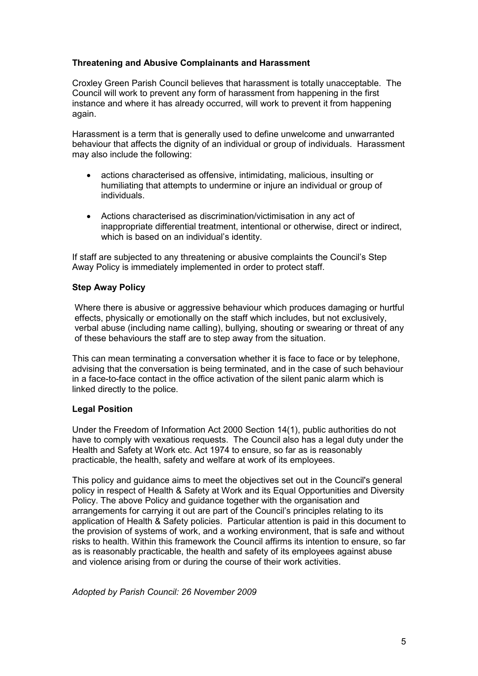#### Threatening and Abusive Complainants and Harassment

Croxley Green Parish Council believes that harassment is totally unacceptable. The Council will work to prevent any form of harassment from happening in the first instance and where it has already occurred, will work to prevent it from happening again.

Harassment is a term that is generally used to define unwelcome and unwarranted behaviour that affects the dignity of an individual or group of individuals. Harassment may also include the following:

- actions characterised as offensive, intimidating, malicious, insulting or humiliating that attempts to undermine or injure an individual or group of individuals.
- Actions characterised as discrimination/victimisation in any act of inappropriate differential treatment, intentional or otherwise, direct or indirect, which is based on an individual's identity.

If staff are subjected to any threatening or abusive complaints the Council's Step Away Policy is immediately implemented in order to protect staff.

#### Step Away Policy

Where there is abusive or aggressive behaviour which produces damaging or hurtful effects, physically or emotionally on the staff which includes, but not exclusively, verbal abuse (including name calling), bullying, shouting or swearing or threat of any of these behaviours the staff are to step away from the situation.

This can mean terminating a conversation whether it is face to face or by telephone, advising that the conversation is being terminated, and in the case of such behaviour in a face-to-face contact in the office activation of the silent panic alarm which is linked directly to the police.

### Legal Position

Under the Freedom of Information Act 2000 Section 14(1), public authorities do not have to comply with vexatious requests. The Council also has a legal duty under the Health and Safety at Work etc. Act 1974 to ensure, so far as is reasonably practicable, the health, safety and welfare at work of its employees.

This policy and guidance aims to meet the objectives set out in the Council's general policy in respect of Health & Safety at Work and its Equal Opportunities and Diversity Policy. The above Policy and guidance together with the organisation and arrangements for carrying it out are part of the Council's principles relating to its application of Health & Safety policies. Particular attention is paid in this document to the provision of systems of work, and a working environment, that is safe and without risks to health. Within this framework the Council affirms its intention to ensure, so far as is reasonably practicable, the health and safety of its employees against abuse and violence arising from or during the course of their work activities.

Adopted by Parish Council: 26 November 2009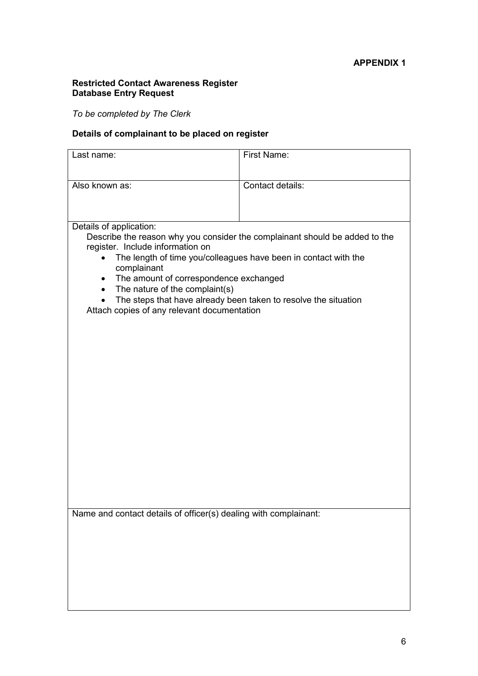#### Restricted Contact Awareness Register Database Entry Request

To be completed by The Clerk

# Details of complainant to be placed on register

| Last name:                                                                                                                                                                                                                                                                                                                                      | First Name:      |  |
|-------------------------------------------------------------------------------------------------------------------------------------------------------------------------------------------------------------------------------------------------------------------------------------------------------------------------------------------------|------------------|--|
| Also known as:                                                                                                                                                                                                                                                                                                                                  | Contact details: |  |
|                                                                                                                                                                                                                                                                                                                                                 |                  |  |
|                                                                                                                                                                                                                                                                                                                                                 |                  |  |
| Details of application:<br>Describe the reason why you consider the complainant should be added to the<br>register. Include information on<br>The length of time you/colleagues have been in contact with the<br>$\bullet$<br>complainant<br>The amount of correspondence exchanged<br>$\bullet$<br>The nature of the complaint(s)<br>$\bullet$ |                  |  |
| The steps that have already been taken to resolve the situation<br>Attach copies of any relevant documentation                                                                                                                                                                                                                                  |                  |  |
|                                                                                                                                                                                                                                                                                                                                                 |                  |  |
|                                                                                                                                                                                                                                                                                                                                                 |                  |  |
|                                                                                                                                                                                                                                                                                                                                                 |                  |  |
|                                                                                                                                                                                                                                                                                                                                                 |                  |  |
|                                                                                                                                                                                                                                                                                                                                                 |                  |  |
|                                                                                                                                                                                                                                                                                                                                                 |                  |  |
|                                                                                                                                                                                                                                                                                                                                                 |                  |  |
|                                                                                                                                                                                                                                                                                                                                                 |                  |  |
|                                                                                                                                                                                                                                                                                                                                                 |                  |  |
| Name and contact details of officer(s) dealing with complainant:                                                                                                                                                                                                                                                                                |                  |  |
|                                                                                                                                                                                                                                                                                                                                                 |                  |  |
|                                                                                                                                                                                                                                                                                                                                                 |                  |  |
|                                                                                                                                                                                                                                                                                                                                                 |                  |  |
|                                                                                                                                                                                                                                                                                                                                                 |                  |  |